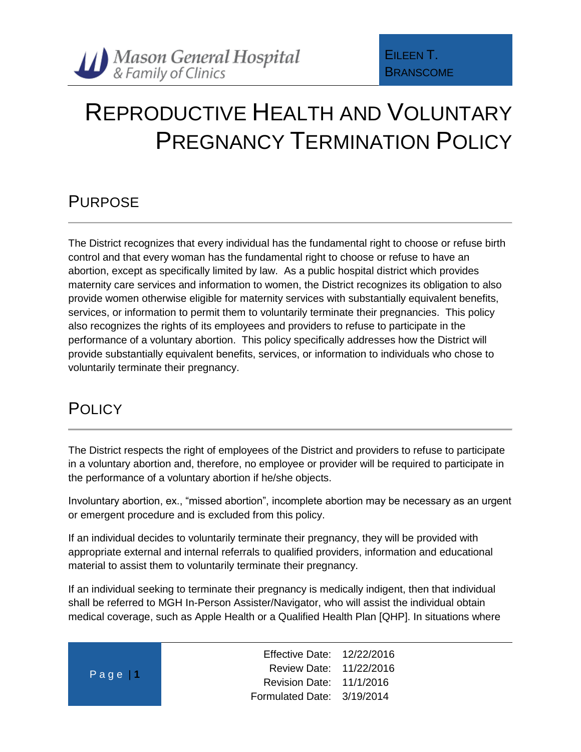## REPRODUCTIVE HEALTH AND VOLUNTARY PREGNANCY TERMINATION POLICY

## PURPOSE

The District recognizes that every individual has the fundamental right to choose or refuse birth control and that every woman has the fundamental right to choose or refuse to have an abortion, except as specifically limited by law. As a public hospital district which provides maternity care services and information to women, the District recognizes its obligation to also provide women otherwise eligible for maternity services with substantially equivalent benefits, services, or information to permit them to voluntarily terminate their pregnancies. This policy also recognizes the rights of its employees and providers to refuse to participate in the performance of a voluntary abortion. This policy specifically addresses how the District will provide substantially equivalent benefits, services, or information to individuals who chose to voluntarily terminate their pregnancy.

## **POLICY**

The District respects the right of employees of the District and providers to refuse to participate in a voluntary abortion and, therefore, no employee or provider will be required to participate in the performance of a voluntary abortion if he/she objects.

Involuntary abortion, ex., "missed abortion", incomplete abortion may be necessary as an urgent or emergent procedure and is excluded from this policy.

If an individual decides to voluntarily terminate their pregnancy, they will be provided with appropriate external and internal referrals to qualified providers, information and educational material to assist them to voluntarily terminate their pregnancy.

If an individual seeking to terminate their pregnancy is medically indigent, then that individual shall be referred to MGH In-Person Assister/Navigator, who will assist the individual obtain medical coverage, such as Apple Health or a Qualified Health Plan [QHP]. In situations where

| Page 1 |  |  |  |
|--------|--|--|--|
|        |  |  |  |

Effective Date: 12/22/2016 Review Date: 11/22/2016 Revision Date: 11/1/2016 Formulated Date: 3/19/2014